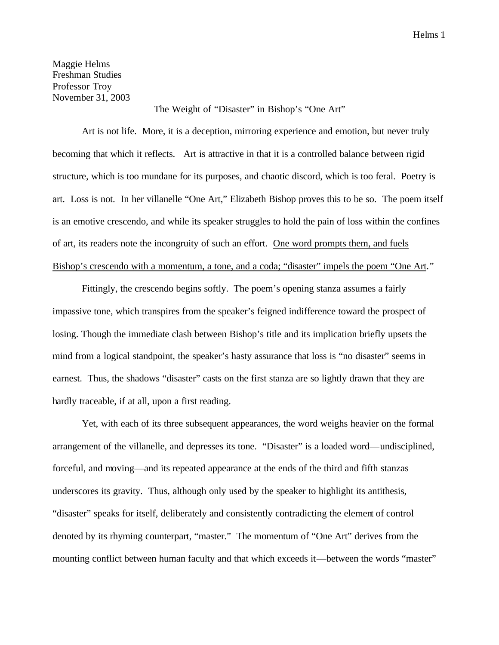Helms 1

Maggie Helms Freshman Studies Professor Troy November 31, 2003

The Weight of "Disaster" in Bishop's "One Art"

Art is not life. More, it is a deception, mirroring experience and emotion, but never truly becoming that which it reflects. Art is attractive in that it is a controlled balance between rigid structure, which is too mundane for its purposes, and chaotic discord, which is too feral. Poetry is art. Loss is not. In her villanelle "One Art," Elizabeth Bishop proves this to be so. The poem itself is an emotive crescendo, and while its speaker struggles to hold the pain of loss within the confines of art, its readers note the incongruity of such an effort. One word prompts them, and fuels Bishop's crescendo with a momentum, a tone, and a coda; "disaster" impels the poem "One Art."

Fittingly, the crescendo begins softly. The poem's opening stanza assumes a fairly impassive tone, which transpires from the speaker's feigned indifference toward the prospect of losing. Though the immediate clash between Bishop's title and its implication briefly upsets the mind from a logical standpoint, the speaker's hasty assurance that loss is "no disaster" seems in earnest. Thus, the shadows "disaster" casts on the first stanza are so lightly drawn that they are hardly traceable, if at all, upon a first reading.

Yet, with each of its three subsequent appearances, the word weighs heavier on the formal arrangement of the villanelle, and depresses its tone. "Disaster" is a loaded word—undisciplined, forceful, and moving—and its repeated appearance at the ends of the third and fifth stanzas underscores its gravity. Thus, although only used by the speaker to highlight its antithesis, "disaster" speaks for itself, deliberately and consistently contradicting the element of control denoted by its rhyming counterpart, "master." The momentum of "One Art" derives from the mounting conflict between human faculty and that which exceeds it—between the words "master"